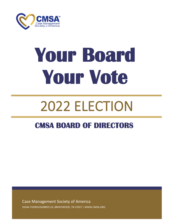

# **Your Board Your Vote**

# 2022 ELECTION

# **CMSA BOARD OF DIRECTORS**

Case Management Society of America 5034A THOROUGHBRED LN, BRENTWOOD, TN 37027 | WWW.CMSA.ORG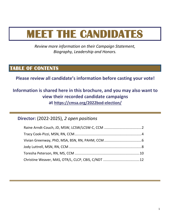# **MEET THE CANDIDATES**

*Review more information on their Campaign Statement, Biography, Leadership and Honors.*

# **TABLE OF CONTENTS**

**Please review all candidate's information before casting your vote!**

## **Information is shared here in this brochure, and you may also want to view their recorded candidate campaigns at <https://cmsa.org/2022bod-election/>**

**Director:** (2022-2025), *2 open positions*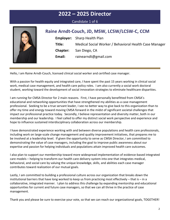

Candidate 1 of 6

# **Raine Arndt-Couch, JD, MSW, LCSW/LCSW-C, CCM Employer:** Sharp Health Plan **Title:** Medical Social Worker / Behavioral Health Case Manager **Chapter:** San Diego, CA **Email:** rainearndt@gmail.com

Hello, I am Raine Arndt-Couch, licensed clinical social worker and certified case manager.

With a passion for health equity and integrated care, I have spent the past 15 years working in clinical social work, medical case management, and health care policy roles. I am also currently a social work doctoral student, working toward the development of social innovation strategies to eliminate healthcare disparities.

I am running for CMSA Director for 2 main reasons. First, I have personally benefitted from CMSA's educational and networking opportunities that have strengthened my abilities as a case management professional. Seeking to be a true servant leader, I see no better way to give back to this organization than to offer my time and energy toward moving CMSA forward in the midst of significant societal challenges that impact our professional practice today. Secondly, I believe representation and diversity matter, both in our membership and our leadership. I feel called to offer my distinct social work perspective and experience and hope to influence sustained interdisciplinary collaboration across our membership.

I have demonstrated experience working with and between diverse populations and health care professionals, including work on large-scale change management and quality improvement initiatives, that prepares me to be involved at a leadership level. If given the opportunity to serve as CMSA Director, I am committed to demonstrating the value of case managers, including the goal to improve public awareness about our expertise and passion for helping individuals and populations attain improved health care outcomes.

I also plan to support our membership toward more widespread implementation of evidence-based integrated care models – helping to transform our health care delivery system into one that integrates medical, behavioral, and social care by valuing the unique knowledge, skills, and abilities each case manager contributes toward realization of our mutual goals.

Lastly, I am committed to building a professional culture across our organization that breaks down the institutional barriers that have long worked to keep us from practicing most effectively – that is – in a collaborative, integrated manner. I plan to address this challenge by expanding mentorship and educational opportunities for current and future case managers, so that we can all thrive in the practice of case management.

Thank you and please be sure to exercise your vote, so that we can reach our organizational goals, TOGETHER!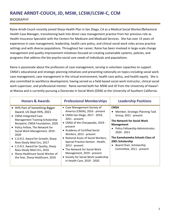# **RAINE ARNDT-COUCH, JD, MSW, LCSW/LCSW-C, CCM**

#### BIOGRAPHY

Raine Arndt-Couch recently joined Sharp Health Plan in San Diego, CA as a Medical Social Worker/Behavioral Health Case Manager, transitioning back into direct case management practice from her previous role as Health Insurance Specialist with the Centers for Medicare and Medicaid Services. She has over 15 years of experience in case management, leadership, health care policy, and clinical social work roles across practice settings and with diverse populations. Throughout her career, Raine has been involved in large-scale change management and quality improvement initiatives focused on creating sustainable systems, policies, and programs that address the bio-psycho-social care needs of individuals and populations.

Raine is passionate about the profession of case management, serving in volunteer capacities to support CMSA's educational and strategic planning initiatives and presenting nationally on topics including social work case management, case management in the virtual environment, health care policy, and health equity. She is also committed to workforce development, having served as a field-based social work instructor, clinical social work supervisor, and professional mentor. Raine earned both her MSW and JD from the University of Hawai'i at Manoa and is currently pursuing a Doctorate in Social Work (DSW) at the University of Southern California.

| <b>Honors &amp; Awards</b>                                                                                                                                                                                                                                                                                                                                                                                                                                    | <b>Professional Memberships</b>                                                                                                                                                                                                                                                                                                                                                                                                                                       | <b>Leadership Positions</b>                                                                                                                                                                                                                                                                    |
|---------------------------------------------------------------------------------------------------------------------------------------------------------------------------------------------------------------------------------------------------------------------------------------------------------------------------------------------------------------------------------------------------------------------------------------------------------------|-----------------------------------------------------------------------------------------------------------------------------------------------------------------------------------------------------------------------------------------------------------------------------------------------------------------------------------------------------------------------------------------------------------------------------------------------------------------------|------------------------------------------------------------------------------------------------------------------------------------------------------------------------------------------------------------------------------------------------------------------------------------------------|
| • HHS Part of Something Bigger<br>Award, US Dept HHS, 2021<br>• CMSA Integrated Case<br>Management Training Scholarship<br>Recipient, CMSA Foundation, 2020<br>• Policy Fellow, The Network for<br>Social Work Management, 2019 -<br>2020<br>• C.O.R.E. Award for Growth, Sharp<br>Rees-Stealy Med Ctrs, 2017<br>• C.O.R.E. Award for Quality, Sharp<br>Rees-Stealy Med Ctrs, 2016<br>• Sharp Healthcare Social Worker of<br>the Year, Sharp Healthcare, 2016 | • Case Management Society of<br>America (CMSA), 2016 - present<br>• CMSA San Diego, 2017 - 2019,<br>$2021$ - present<br>• CMSA of the Chesapeake, 2019 -<br>present<br>• Academy of Certified Social<br>Workers, 2013 - present<br>• National Assoc of Social Workers,<br>Special Practice Section: Health,<br>$2013$ - present<br>• The Network for Social Work<br>Management, 2019 - present<br>• Society for Social Work Leadership<br>in Health Care, 2019 - 2020 | <b>CMSA</b><br>Member, Strategic Planning Task<br>Group, 2021 - present<br>The Network for Social Work<br><b>Management</b><br>Policy Fellowship Administrator,<br>2020 - 2021<br>The Kamehameha Schools Class of<br>2001 Scholarship<br>Board Chair, Scholarship<br>Committee, 2011 - present |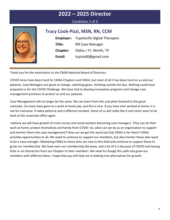#### Candidate 2 of 6



#### **Tracy Cook-Pizzi, MSN, RN, CCM**

**Employer:** TupeloLife Digital Therapies **Title:** RN Case Manager **Chapter:** Dallas / Ft. Worth, TX **Email:** tcpizzi60@gmail.com

Thank you for the nomination to the CMSA National Board of Directors.

COVID times have been hard for CMSA Chapters and CMSA, but most of all it has been hard on us and our patients. Case Managers are great at change, switching gears, thinking outside the box. Nothing could have prepared us for the COVID Challenge. We have had to develop innovative programs and change case management positions to protect us and our patients.

Case Management will no longer be the same. We can learn from this and plow forward to the great unknown. So many have gone to a work at home job, and this is new. If you have ever worked at home, it is not for everyone. It takes patience and a different mindset. Some of us will really like it and never want to be back at the corporate office again.

I believe we will have growth of more nurses and social workers becoming case managers. They can do their work at home, protect themselves and family from COVID. So, what can we do as an organization to support and mentor them into case management? How can we get the word out that CMSA is for them? CMSA provides opportunities to all. We need to continue to support our members, but also mentor those who want to be a case manager. Marketing CMSA to those who are new to this field and continue to support those to grow our membership. We have seen our membership decrease, and a lot of it is because of COVID and having little or no interaction from our Chapter to their members. We need to change this path and grow our members with different ideas. I hope that you will help me in looking into alternatives for growth.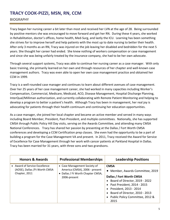### **TRACY COOK-PIZZI, MSN, RN, CCM**

#### BIOGRAPHY

Tracy began her nursing career a bit later than most and received her LVN at the age of 28. Being surrounded by positive mentors she was encouraged to move forward and get her RN. During these 4 years, she worked in Rehabilitation, doctor's offices, home health, Med-Surg, and lastly the ICU. Learning has been something she strives for to improve herself and help patients with the most up to date nursing to better their health. After only 3 months as an RN, Tracy was injured on the job leaving her disabled and bedridden for the next 5 years. She thought her career had ended. She knew nothing of workers compensation or case management and since she was being unfairly treated by the insurance company, she had to be her own advocate.

Through several support systems, Tracy was able to continue her nursing career as a case manager. With only basic training, she primarily learned on her own and through resources of her chapter and well-known case management authors. Tracy was even able to open her own case management practice and obtained her CCM in 1999.

Tracy is a well-rounded case manager and continues to learn about different avenues of case management. Over her 25 years of her case management career, she had worked in many capacities including Worker's Compensation, Commercial, Medicare, Medicaid, ACO, Disease Management, Hospital Discharge Planning, InterQual/Milliman authorization, and currently collaborating with Remote Patient Monitoring and helping to develop a program to better a patient's health. Although Tracy has been in management, her real joy is advocating for patients through their health continuum and continuing her education opportunities.

As a case manager, she joined her local chapter and became an active member and served in many ways including Board Member, President, Past-President, and multiple committees. Nationally, she has supported CMSA through Public Policy Hill Day visits, serving on the Awards Committee, and attending many CMSA National Conferences. Tracy has shared her passion by presenting at the Dallas / Fort Worth CMSA conferences and developing a CCM Certification prep classes. She even had the opportunity to be a part of building a program for the Case Management VA and present. In 2011, Tracy received the Award for Service of Excellence for Case Management through her work with cancer patients at Parkland Hospital in Dallas. Tracy has been married for 31 years, with three sons and two grandsons.

| <b>Honors &amp; Awards</b>                                                       | <b>Professional Memberships</b>                                                                                     | <b>Leadership Positions</b>                                                                                                                                                                                                                                    |
|----------------------------------------------------------------------------------|---------------------------------------------------------------------------------------------------------------------|----------------------------------------------------------------------------------------------------------------------------------------------------------------------------------------------------------------------------------------------------------------|
| • Award of Service Excellence<br>(AOSE), Dallas / Ft Worth CMSA<br>Chapter, 2011 | • Case Management Society of<br>America (CMSA), 2006 - present<br>• Dallas / Ft Worth Chapter CMSA,<br>2006-present | <b>CMSA</b><br>Member, Awards Committee, 2019<br>$\bullet$<br>Dallas / Fort Worth CMSA<br>Board of Director, 2019 - 2022<br>Past President, 2014 - 2015<br>President, 2013 - 2014<br>Board of Director, 2010 - 2013<br>Public Policy Committee, 2012 &<br>2015 |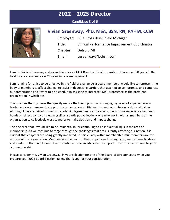#### Candidate 3 of 6



| Vivian Greenway, PhD, MSA, BSN, RN, PAHM, CCM    |
|--------------------------------------------------|
| <b>Employer:</b> Blue Cross Blue Shield Michigan |

|                             | $\blacksquare$                                      |
|-----------------------------|-----------------------------------------------------|
| Title:                      | <b>Clinical Performance Improvement Coordinator</b> |
| <b>Chapter:</b> Detroit, MI |                                                     |
| Email:                      | vgreenway@bcbsm.com                                 |

I am Dr. Vivian Greenway and a candidate for a CMSA Board of Director position. I have over 30 years in the health care arena and over 20 years in case management.

I am running for office to be effective in the field of change. As a board member, I would like to represent the body of members to affect change, to assist in decreasing barriers that attempt to compromise and compress our organization and I want to be a conduit in assisting to increase CMSA's presence as the premiere organization in which it is.

The qualities that I possess that qualify me for the board position is bringing my years of experience as a leader and case manager to support the organization's initiatives through our mission, vision and values. Although I have obtained numerous academic degrees and certifications, much of my experience has been hands on, direct contact. I view myself as a participative leader – one who works with all members of the organization to collectively work together to make decision and impact change.

The one area that I would like to be influential in (or continuing to be influential in) is in the area of membership. As we continue to forge through the challenges that are currently affecting our nation, it is evident that chapters are being greatly impacted, in particularly within membership. Our members are the nucleus of the organization. Members are the heart of the company and through you, we continue to strive and exists. To that end, I would like to continue to be an advocate to support the efforts to continue to grow our membership.

Please consider me, Vivian Greenway, in your selection for one of the Board of Director seats when you prepare your 2022 Board Election Ballet. Thank you for your consideration.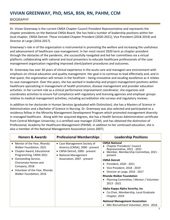#### **VIVIAN GREENWAY, PhD, MSA, BSN, RN, PAHM, CCM**

#### BIOGRAPHY

Dr. Vivian Greenway is the current CMSA Chapter Council President Representative and represents the chapter presidents on the National CMSA Board. She has held a number of leadership positions within her local chapter, CMSA Detroit. These included Chapter President (2020-2021), Vice President (2018-2019) and Director at Large (2016-2017).

Greenway's role in of the organization is instrumental in promoting the welfare and increasing the usefulness and advancement of healthcare case management. In her most recent 2020 term as chapter president through the obstacles of the pandemic, she successfully navigated and led her committees via a virtual platform; collaborating with national and local presenters to educate healthcare professionals of the case management organization regarding improved client/patient procedures and outcomes.

Dr. Greenway has over 30 years of clinical experience in the acute care and managed care environment with emphasis on clinical education and quality management. Her goal is to continue to lead effectively and, and in that quest, the organization will remain in the forefront – being innovative and exuding excellence as it relates to case management. Over the years, she has worked in leadership and project management positions within healthcare specializing in management of health promotion, disease management and provider education activities. In her current role as a clinical performance improvement coordinator, she organizes and coordinates activities to ensure full compliance with regulatory and licensing agencies and employer groups relative to medical management activities, including accreditation site surveys and regulatory reviews.

In addition to her doctorate in Human Services (graduated with Distinction), she has a Masters of Science in Administration and a Bachelor of Science in Nursing. Dr. Greenway was also selected and participated as a residency fellow in the Minority Management Development Program which promoted management diversity in managed healthcare. Along with her acquired degrees, she has a Health Services Administration certificate from Central Michigan University; is a certified case manager (CCM), and has obtained the distinction of Professional, Academy for Healthcare Management (PAHM). In addition to her continued education, she is also a member of the National Management Association (since 2007).

| <b>Honors &amp; Awards</b>                                                                                                                                                                                                                         | <b>Professional Memberships</b>                                                                                                                          | <b>Leadership Positions</b>                                                                                                                                                                                                                                                                                                                                                                                                                                                                                                                     |
|----------------------------------------------------------------------------------------------------------------------------------------------------------------------------------------------------------------------------------------------------|----------------------------------------------------------------------------------------------------------------------------------------------------------|-------------------------------------------------------------------------------------------------------------------------------------------------------------------------------------------------------------------------------------------------------------------------------------------------------------------------------------------------------------------------------------------------------------------------------------------------------------------------------------------------------------------------------------------------|
| • Mentor of the Year, Rhonda<br>Walker Foundation, 2021<br>• Chapter Award, Educational<br>Programming, CMSA 2021<br>• Outstanding Service,<br>Charismata Homes and<br>Company, 2018<br>• Volunteer of the Year, Rhonda<br>Walker Foundation, 2016 | • Case Management Society of<br>America (CMSA), 2000 - present<br>• CMSA Detroit, 2000 - present<br>• National Management<br>Association, 2007 - present | <b>CMSA National</b><br><b>Chapter Presidents' Council</b><br>Representative, 2021 - 2022<br>Member, Membership Committee, 2021 -<br>present<br><b>CMSA Detroit</b><br>President, 2020 - 2021<br>Vice President, 2018 - 2019<br>Director at Large, 2016 - 2017<br><b>Rhonda Walker Foundation</b><br>Planning Committee / Mentor / Volunteer<br>2013 - 2021<br>Alpha Kappa Alpha Sorority, Inc<br>• Co-Chair, Membership, Local Graduate<br>Chapter, 2019<br><b>National Management Association</b><br>• Mbr Recruitment Volunteer, 2014 - 2016 |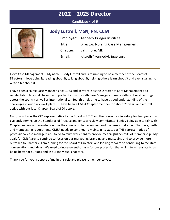#### Candidate 4 of 6



#### **Jody Luttrell, MSN, RN, CCM**

|          | <b>Employer:</b> Kennedy Krieger Institute |
|----------|--------------------------------------------|
| Title:   | Director, Nursing Care Management          |
| Chapter: | Baltimore, MD                              |
| Email:   | luttrell@kennedykrieger.org                |

I love Case Management!! My name is Jody Luttrell and I am running to be a member of the Board of Directors. I love doing it, reading about it, talking about it, helping others learn about it and even starting to write a bit about it!!!

I have been a Nurse Case Manager since 1983 and in my role as the Director of Care Management at a rehabilitation hospital I have the opportunity to work with Case Managers in many different work settings across the country as well as internationally. I feel this helps me to have a good understanding of the challenges in our daily work place. I have been a CMSA Chapter member for about 25 years and am still active with our local Chapter Board of Directors.

Nationally, I was the CPC representative to the Board in 2017 and then served as Secretary for two years. I am currently serving on the Standards of Practice and By-Law review committees. I enjoy being able to talk with Chapter leaders and members across the country to better understand the issues that affect Chapter growth and membership recruitment. CMSA needs to continue to maintain its status as THE representative of professional case managers and to do so must work hard to provide meaningful benefits of membership. My goals for CMSA are to continue to focus on our marketing, branding and messaging and to provide more outreach to Chapters. I am running for the Board of Directors and looking forward to continuing to facilitate conversations and ideas. We need to increase enthusiasm for our profession that will in turn translate to us being better at our jobs and in our individual chapters.

Thank you for your support of me in this role and please remember to vote!!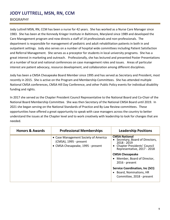## **JODY LUTTRELL, MSN, RN, CCM**

#### BIOGRAPHY

Jody Luttrell MSN, RN, CCM has been a nurse for 42 years. She has worked as a Nurse Care Manager since 1983. She has been at the Kennedy Krieger Institute in Baltimore, Maryland since 1989 and developed the Care Management program and now directs a staff of 14 professionals and non-professionals. The department is responsible for management of pediatric and adult rehabilitation patients in both in and outpatient settings. Jody also serves on a number of hospital wide committees including Patient Satisfaction and Referral Management. She serves as a preceptor for students in local university programs. She has a great interest in marketing and outreach. Professionally, she has lectured and presented Poster Presentations at a number of local and national conferences on case management roles and issues. Areas of particular interest are patient advocacy, resource development, and collaboration among different disciplines.

Jody has been a CMSA Chesapeake Board Member since 1995 and has served as Secretary and President, most recently in 2015. She is active on the Program and Membership Committees. She has attended multiple National CMSA conferences, CMSA Hill Day Conference, and other Public Policy events for individual disability funding and rights.

In 2017 she served as the Chapter President Council Representative to the National Board and Co-Chair of the National Board Membership Committee. She was then Secretary of the National CMSA Board until 2019. In 2021 she began serving on the National Standards of Practice and By-Law Review committees. These opportunities have offered a great opportunity to speak with case managers across the country to better understand the issues at the Chapter level and to work creatively with leadership to look for changes that are needed.

| <b>Honors &amp; Awards</b> | <b>Professional Memberships</b>                                                                     | <b>Leadership Positions</b>                                                                                                                                                                                                                                                                                                       |
|----------------------------|-----------------------------------------------------------------------------------------------------|-----------------------------------------------------------------------------------------------------------------------------------------------------------------------------------------------------------------------------------------------------------------------------------------------------------------------------------|
|                            | • Case Management Society of America<br>(CMSA), 1995 - present<br>• CMSA Chesapeake, 1995 - present | <b>CMSA National</b><br>Secretary, Board of Directors,<br>2018 - 2019<br>• Chapter Presidents' Council<br>Representative, 2017 - 2018<br><b>CMSA Chesapeake</b><br>Member, Board of Director,<br>$\bullet$<br>$2016$ - present<br><b>Service Coordination, Inc (SCI)</b><br>• Board, Nominations, HR<br>Committee, 2018 - present |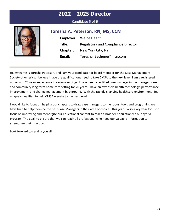#### Candidate 5 of 6



## **Toresha A. Peterson, RN, MS, CCM**

|                 | <b>Employer:</b> Welbe Health             |
|-----------------|-------------------------------------------|
| Title:          | <b>Regulatory and Compliance Director</b> |
| <b>Chapter:</b> | New York City, NY                         |
| Email:          | Toresha Bethune@msn.com                   |

Hi, my name is Toresha Peterson, and I am your candidate for board member for the Case Management Society of America. I believe I have the qualifications need to take CMSA to the next level. I am a registered nurse with 25 years experience in various settings. I have been a certified case manager in the managed care and community long term home care setting for 20 years. I have an extensive health technology, performance improvement, and change management background. With the rapidly changing healthcare environment I feel uniquely qualified to help CMSA elevate to the next level.

I would like to focus on helping our chapters to draw case managers to the robust tools and programing we have built to help them be the best Case Managers in their area of choice. This year is also a key year for us to focus on improving and reenergize our educational content to reach a broader population via our hybrid program. The goal, to ensure that we can reach all professional who need our valuable information to strengthen their practice.

Look forward to serving you all.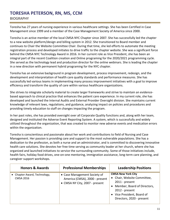#### **TORESHA PETERSON, RN, MS, CCM** BIOGRAPHY

Toresha has 27 years of nursing experience in various healthcare settings. She has been Certified in Case Management since 1999 and a member of the Case Management Society of America since 2000.

Toresha is an active member of the local CMSA NYC Chapter since 2007. She has successfully led the chapter to a new website platform/design and billing system in 2012. She transitioned to Board member and continues to Chair the Website Committee Chair. During that time, she led efforts to automate the meeting registration process and developed initiates to drive traffic to the chapter website. She was a significant force behind the CMSA NYC Technology Award in 2016. In her current role as Vice President, she has been an integral part of the recent Coalition creation and Online programing for the 2020/2021 programming cycle. She served as the technology lead and production director for the online webinars. She is leading the chapter in a new direction with permanent hybrid programing for the NYC chapter.

Toresha has an extensive background in program development, process improvement, redesign, and the development and interpretation of health care quality standards and performance measures. She has successfully led various teams in implementing many process improvement initiatives with a goal to improve efficiency and transform the quality of care within various healthcare organizations.

She strives to integrate scholarly material to create larger frameworks and strive to maintain an evidencebased approach to clinical practice that enhances the patient care experience. In my current role, she has developed and launched the Internal Audits and External Provider Oversight division. She maintains current knowledge of relevant laws, regulations, and guidance, analyzing impact on policies and procedures and providing timely education to staff on changes impacting the program.

In her past roles, she has provided oversight over all Corporate Quality functions and, along with her team, designed and instituted the Adverse Event Reporting System. A system, which is successfully and widely utilized throughout the organization, that was created to monitor new adverse events and medication errors within the organization.

Toresha is conscientious and passionate about her work and contributions to field of Nursing and Case Management. Her passion is providing care and support to the most vulnerable populations. She has a dedication to the profession, as both a nurse and an administrator, and is committed to discovering innovative health care solutions. She devotes her free time serving as community leader at her church, where she has organized and launched initiatives to service the surrounding community. Some of those initiatives include, health fairs, holiday food drives, one-on-one mentoring, immigration assistance, long-term care planning, and caregiver support workshops.

| <b>Honors &amp; Awards</b>                       | <b>Professional Memberships</b>                                                                  | <b>Leadership Positions</b>                                                                                                                                                              |
|--------------------------------------------------|--------------------------------------------------------------------------------------------------|------------------------------------------------------------------------------------------------------------------------------------------------------------------------------------------|
| • Chapter Award, Technology,<br><b>CMSA 2016</b> | • Case Management Society of<br>America (CMSA), 2000 - present<br>• CMSA NY City, 2007 - present | <b>CMSA New York City</b><br>• Chair, Website Committee,<br>2011 - present<br>• Member, Board of Directors,<br>2012 - present<br>• Vice President, Board of<br>Directors, 2020 - present |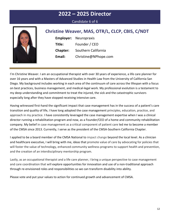Candidate 6 of 6



| Christine Weaver, MAS, OTR/L, CLCP, CBIS, C/NDT |                              |  |
|-------------------------------------------------|------------------------------|--|
|                                                 | <b>Employer:</b> Neuropraxis |  |
| Title:                                          | Founder / CEO                |  |
| <b>Chapter:</b>                                 | Southern California          |  |
| Email:                                          | Christine@NPhope.com         |  |

I'm Christine Weaver. I am an occupational therapist with over 30 years of experience, a life care planner for over 16 years and with a Masters of Advanced Studies in Health Law from the University of California San Diego. My background includes working in each area of the continuum of care across the lifespan with a focus on best practices, business management, and medical-legal work. My professional evolution is a testament to my deep understanding and commitment to treat the injured, the sick and the catastrophic survivors especially long after they have stopped receiving intensive care.

Having witnessed first-hand the significant impact that case management has in the success of a patient's care transition and quality of life, I have long adopted the case management principles, education, practice, and approach in my practice. I have consistently leveraged the case management expertise when I was a clinical director running a rehabilitation program and now, as a Founder/CEO of a home and community rehabilitation company. My belief in case management as a critical component of patient care led me to become a member of the CMSA since 2013. Currently, I serve as the president of the CMSA-Southern California Chapter.

I applied to be a board member of the CMSA National to impact change beyond the local level. As a clinician and healthcare executive, I will bring with me, ideas that promote value of care by advocating for policies that will foster the value of technology, enhanced community wellness programs to support health and prevention, and the creation of an interdisciplinary mentorship program.

Lastly, as an occupational therapist and a life care planner, I bring a unique perspective to case management and care coordination that will explore opportunities for innovation and use of a non-traditional approach through re-envisioned roles and responsibilities so we can transform disability into ability.

Please vote and put your values to action for continued growth and advancement of CMSA.